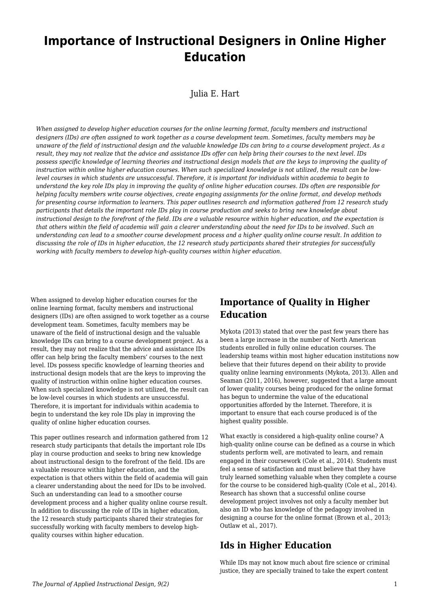# **Importance of Instructional Designers in Online Higher Education**

Julia E. Hart

*When assigned to develop higher education courses for the online learning format, faculty members and instructional designers (IDs) are often assigned to work together as a course development team. Sometimes, faculty members may be unaware of the field of instructional design and the valuable knowledge IDs can bring to a course development project. As a result, they may not realize that the advice and assistance IDs offer can help bring their courses to the next level. IDs possess specific knowledge of learning theories and instructional design models that are the keys to improving the quality of instruction within online higher education courses. When such specialized knowledge is not utilized, the result can be lowlevel courses in which students are unsuccessful. Therefore, it is important for individuals within academia to begin to understand the key role IDs play in improving the quality of online higher education courses. IDs often are responsible for helping faculty members write course objectives, create engaging assignments for the online format, and develop methods for presenting course information to learners. This paper outlines research and information gathered from 12 research study participants that details the important role IDs play in course production and seeks to bring new knowledge about instructional design to the forefront of the field. IDs are a valuable resource within higher education, and the expectation is that others within the field of academia will gain a clearer understanding about the need for IDs to be involved. Such an understanding can lead to a smoother course development process and a higher quality online course result. In addition to discussing the role of IDs in higher education, the 12 research study participants shared their strategies for successfully working with faculty members to develop high-quality courses within higher education.*

When assigned to develop higher education courses for the online learning format, faculty members and instructional designers (IDs) are often assigned to work together as a course development team. Sometimes, faculty members may be unaware of the field of instructional design and the valuable knowledge IDs can bring to a course development project. As a result, they may not realize that the advice and assistance IDs offer can help bring the faculty members' courses to the next level. IDs possess specific knowledge of learning theories and instructional design models that are the keys to improving the quality of instruction within online higher education courses. When such specialized knowledge is not utilized, the result can be low-level courses in which students are unsuccessful. Therefore, it is important for individuals within academia to begin to understand the key role IDs play in improving the quality of online higher education courses.

This paper outlines research and information gathered from 12 research study participants that details the important role IDs play in course production and seeks to bring new knowledge about instructional design to the forefront of the field. IDs are a valuable resource within higher education, and the expectation is that others within the field of academia will gain a clearer understanding about the need for IDs to be involved. Such an understanding can lead to a smoother course development process and a higher quality online course result. In addition to discussing the role of IDs in higher education, the 12 research study participants shared their strategies for successfully working with faculty members to develop highquality courses within higher education.

## **Importance of Quality in Higher Education**

Mykota (2013) stated that over the past few years there has been a large increase in the number of North American students enrolled in fully online education courses. The leadership teams within most higher education institutions now believe that their futures depend on their ability to provide quality online learning environments (Mykota, 2013). Allen and Seaman (2011, 2016), however, suggested that a large amount of lower quality courses being produced for the online format has begun to undermine the value of the educational opportunities afforded by the Internet. Therefore, it is important to ensure that each course produced is of the highest quality possible.

What exactly is considered a high-quality online course? A high-quality online course can be defined as a course in which students perform well, are motivated to learn, and remain engaged in their coursework (Cole et al., 2014). Students must feel a sense of satisfaction and must believe that they have truly learned something valuable when they complete a course for the course to be considered high-quality (Cole et al., 2014). Research has shown that a successful online course development project involves not only a faculty member but also an ID who has knowledge of the pedagogy involved in designing a course for the online format (Brown et al., 2013; Outlaw et al., 2017).

### **Ids in Higher Education**

While IDs may not know much about fire science or criminal justice, they are specially trained to take the expert content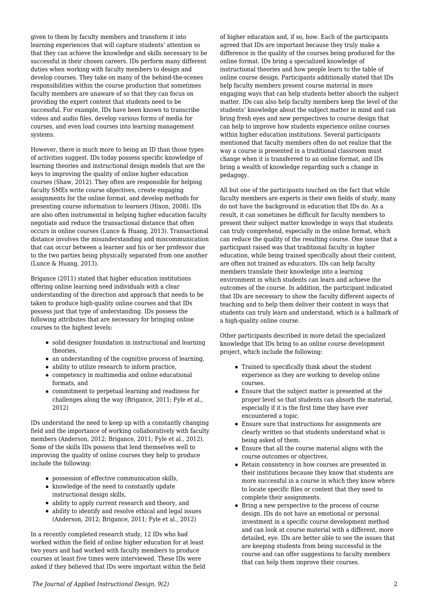given to them by faculty members and transform it into learning experiences that will capture students' attention so that they can achieve the knowledge and skills necessary to be successful in their chosen careers. IDs perform many different duties when working with faculty members to design and develop courses. They take on many of the behind-the-scenes responsibilities within the course production that sometimes faculty members are unaware of so that they can focus on providing the expert content that students need to be successful. For example, IDs have been known to transcribe videos and audio files, develop various forms of media for courses, and even load courses into learning management systems.

However, there is much more to being an ID than those types of activities suggest. IDs today possess specific knowledge of learning theories and instructional design models that are the keys to improving the quality of online higher education courses (Shaw, 2012). They often are responsible for helping faculty SMEs write course objectives, create engaging assignments for the online format, and develop methods for presenting course information to learners (Hixon, 2008). IDs are also often instrumental in helping higher education faculty negotiate and reduce the transactional distance that often occurs in online courses (Lunce & Huang, 2013). Transactional distance involves the misunderstanding and miscommunication that can occur between a learner and his or her professor due to the two parties being physically separated from one another (Lunce & Huang, 2013).

Brigance (2011) stated that higher education institutions offering online learning need individuals with a clear understanding of the direction and approach that needs to be taken to produce high-quality online courses and that IDs possess just that type of understanding. IDs possess the following attributes that are necessary for bringing online courses to the highest levels:

- solid designer foundation in instructional and learning theories,
- an understanding of the cognitive process of learning,
- ability to utilize research to inform practice,
- competency in multimedia and online educational formats, and
- commitment to perpetual learning and readiness for challenges along the way (Brigance, 2011; Fyle et al., 2012)

IDs understand the need to keep up with a constantly changing field and the importance of working collaboratively with faculty members (Anderson, 2012; Brigance, 2011; Fyle et al., 2012). Some of the skills IDs possess that lend themselves well to improving the quality of online courses they help to produce include the following:

- possession of effective communication skills,
- knowledge of the need to constantly update instructional design skills,
- ability to apply current research and theory, and
- ability to identify and resolve ethical and legal issues (Anderson, 2012; Brigance, 2011; Fyle et al., 2012)

In a recently completed research study, 12 IDs who had worked within the field of online higher education for at least two years and had worked with faculty members to produce courses at least five times were interviewed. These IDs were asked if they believed that IDs were important within the field of higher education and, if so, how. Each of the participants agreed that IDs are important because they truly make a difference in the quality of the courses being produced for the online format. IDs bring a specialized knowledge of instructional theories and how people learn to the table of online course design. Participants additionally stated that IDs help faculty members present course material in more engaging ways that can help students better absorb the subject matter. IDs can also help faculty members keep the level of the students' knowledge about the subject matter in mind and can bring fresh eyes and new perspectives to course design that can help to improve how students experience online courses within higher education institutions. Several participants mentioned that faculty members often do not realize that the way a course is presented in a traditional classroom must change when it is transferred to an online format, and IDs bring a wealth of knowledge regarding such a change in pedagogy.

All but one of the participants touched on the fact that while faculty members are experts in their own fields of study, many do not have the background in education that IDs do. As a result, it can sometimes be difficult for faculty members to present their subject matter knowledge in ways that students can truly comprehend, especially in the online format, which can reduce the quality of the resulting course. One issue that a participant raised was that traditional faculty in higher education, while being trained specifically about their content, are often not trained as educators. IDs can help faculty members translate their knowledge into a learning environment in which students can learn and achieve the outcomes of the course. In addition, the participant indicated that IDs are necessary to show the faculty different aspects of teaching and to help them deliver their content in ways that students can truly learn and understand, which is a hallmark of a high-quality online course.

Other participants described in more detail the specialized knowledge that IDs bring to an online course development project, which include the following:

- Trained to specifically think about the student experience as they are working to develop online courses.
- Ensure that the subject matter is presented at the proper level so that students can absorb the material, especially if it is the first time they have ever encountered a topic.
- Ensure sure that instructions for assignments are clearly written so that students understand what is being asked of them.
- Ensure that all the course material aligns with the course outcomes or objectives.
- Retain consistency in how courses are presented in their institutions because they know that students are more successful in a course in which they know where to locate specific files or content that they need to complete their assignments.
- Bring a new perspective to the process of course design. IDs do not have an emotional or personal investment in a specific course development method and can look at course material with a different, more detailed, eye. IDs are better able to see the issues that are keeping students from being successful in the course and can offer suggestions to faculty members that can help them improve their courses.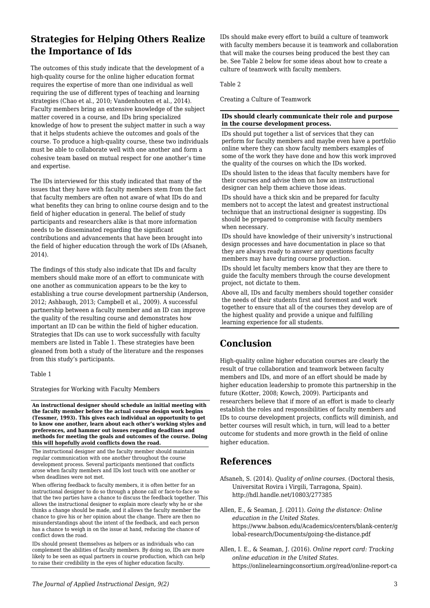# **Strategies for Helping Others Realize the Importance of Ids**

The outcomes of this study indicate that the development of a high-quality course for the online higher education format requires the expertise of more than one individual as well requiring the use of different types of teaching and learning strategies (Chao et al., 2010; Vandenhouten et al., 2014). Faculty members bring an extensive knowledge of the subject matter covered in a course, and IDs bring specialized knowledge of how to present the subject matter in such a way that it helps students achieve the outcomes and goals of the course. To produce a high-quality course, these two individuals must be able to collaborate well with one another and form a cohesive team based on mutual respect for one another's time and expertise.

The IDs interviewed for this study indicated that many of the issues that they have with faculty members stem from the fact that faculty members are often not aware of what IDs do and what benefits they can bring to online course design and to the field of higher education in general. The belief of study participants and researchers alike is that more information needs to be disseminated regarding the significant contributions and advancements that have been brought into the field of higher education through the work of IDs (Afsaneh, 2014).

The findings of this study also indicate that IDs and faculty members should make more of an effort to communicate with one another as communication appears to be the key to establishing a true course development partnership (Anderson, 2012; Ashbaugh, 2013; Campbell et al., 2009). A successful partnership between a faculty member and an ID can improve the quality of the resulting course and demonstrates how important an ID can be within the field of higher education. Strategies that IDs can use to work successfully with faculty members are listed in Table 1. These strategies have been gleaned from both a study of the literature and the responses from this study's participants.

Table 1

Strategies for Working with Faculty Members

**An instructional designer should schedule an initial meeting with the faculty member before the actual course design work begins (Tessmer, 1993). This gives each individual an opportunity to get to know one another, learn about each other's working styles and preferences, and hammer out issues regarding deadlines and methods for meeting the goals and outcomes of the course. Doing this will hopefully avoid conflicts down the road.**

The instructional designer and the faculty member should maintain regular communication with one another throughout the course development process. Several participants mentioned that conflicts arose when faculty members and IDs lost touch with one another or when deadlines were not met.

When offering feedback to faculty members, it is often better for an instructional designer to do so through a phone call or face-to-face so that the two parties have a chance to discuss the feedback together. This allows the instructional designer to explain more clearly why he or she thinks a change should be made, and it allows the faculty member the chance to give his or her opinion about the change. There are then no misunderstandings about the intent of the feedback, and each person has a chance to weigh in on the issue at hand, reducing the chance of conflict down the road.

IDs should present themselves as helpers or as individuals who can complement the abilities of faculty members. By doing so, IDs are more likely to be seen as equal partners in course production, which can help to raise their credibility in the eyes of higher education faculty.

IDs should make every effort to build a culture of teamwork with faculty members because it is teamwork and collaboration that will make the courses being produced the best they can be. See Table 2 below for some ideas about how to create a culture of teamwork with faculty members.

Table 2

Creating a Culture of Teamwork

#### **IDs should clearly communicate their role and purpose in the course development process.**

IDs should put together a list of services that they can perform for faculty members and maybe even have a portfolio online where they can show faculty members examples of some of the work they have done and how this work improved the quality of the courses on which the IDs worked.

IDs should listen to the ideas that faculty members have for their courses and advise them on how an instructional designer can help them achieve those ideas.

IDs should have a thick skin and be prepared for faculty members not to accept the latest and greatest instructional technique that an instructional designer is suggesting. IDs should be prepared to compromise with faculty members when necessary.

IDs should have knowledge of their university's instructional design processes and have documentation in place so that they are always ready to answer any questions faculty members may have during course production.

IDs should let faculty members know that they are there to guide the faculty members through the course development project, not dictate to them.

Above all, IDs and faculty members should together consider the needs of their students first and foremost and work together to ensure that all of the courses they develop are of the highest quality and provide a unique and fulfilling learning experience for all students.

# **Conclusion**

High-quality online higher education courses are clearly the result of true collaboration and teamwork between faculty members and IDs, and more of an effort should be made by higher education leadership to promote this partnership in the future (Kotter, 2008; Kowch, 2009). Participants and researchers believe that if more of an effort is made to clearly establish the roles and responsibilities of faculty members and IDs to course development projects, conflicts will diminish, and better courses will result which, in turn, will lead to a better outcome for students and more growth in the field of online higher education.

### **References**

Afsaneh, S. (2014). *Quality of online courses*. (Doctoral thesis, Universitat Rovira i Virgili, Tarragona, Spain). http://hdl.handle.net/10803/277385

Allen, E., & Seaman, J. (2011). *Going the distance: Online education in the United States*. https://www.babson.edu/Academics/centers/blank-center/g lobal-research/Documents/going-the-distance.pdf

Allen, I. E., & Seaman, J. (2016). *Online report card: Tracking online education in the United States*. https://onlinelearningconsortium.org/read/online-report-ca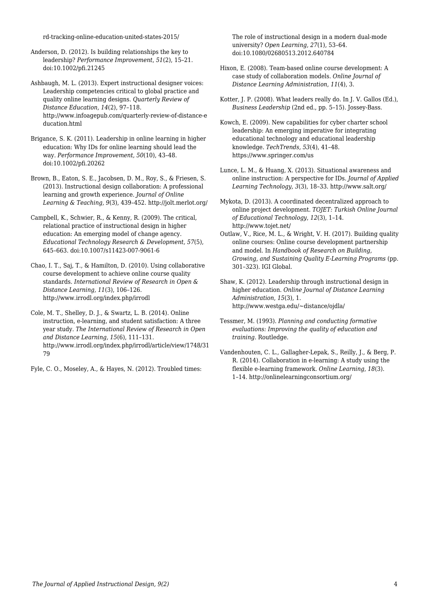rd-tracking-online-education-united-states-2015/

Anderson, D. (2012). Is building relationships the key to leadership? *Performance Improvement*, *51*(2), 15–21. doi:10.1002/pfi.21245

Ashbaugh, M. L. (2013). Expert instructional designer voices: Leadership competencies critical to global practice and quality online learning designs. *Quarterly Review of Distance Education, 14*(2), 97–118. http://www.infoagepub.com/quarterly-review-of-distance-e ducation.html

Brigance, S. K. (2011). Leadership in online learning in higher education: Why IDs for online learning should lead the way. *Performance Improvement, 50*(10), 43–48. doi:10.1002/pfi.20262

Brown, B., Eaton, S. E., Jacobsen, D. M., Roy, S., & Friesen, S. (2013). Instructional design collaboration: A professional learning and growth experience. *Journal of Online Learning & Teaching, 9*(3), 439–452. http://jolt.merlot.org/

Campbell, K., Schwier, R., & Kenny, R. (2009). The critical, relational practice of instructional design in higher education: An emerging model of change agency. *Educational Technology Research & Development, 57*(5), 645–663. doi:10.1007/s11423-007-9061-6

Chao, I. T., Saj, T., & Hamilton, D. (2010). Using collaborative course development to achieve online course quality standards. *International Review of Research in Open & Distance Learning, 11*(3), 106–126. http://www.irrodl.org/index.php/irrodl

Cole, M. T., Shelley, D. J., & Swartz, L. B. (2014). Online instruction, e-learning, and student satisfaction: A three year study. *The International Review of Research in Open and Distance Learning, 15*(6), 111–131. http://www.irrodl.org/index.php/irrodl/article/view/1748/31 79

Fyle, C. O., Moseley, A., & Hayes, N. (2012). Troubled times:

The role of instructional design in a modern dual-mode university? *Open Learning, 27*(1), 53–64. doi:10.1080/02680513.2012.640784

- Hixon, E. (2008). Team-based online course development: A case study of collaboration models. *Online Journal of Distance Learning Administration*, *11*(4), 3.
- Kotter, J. P. (2008). What leaders really do. In J. V. Gallos (Ed.), *Business Leadership* (2nd ed., pp. 5–15). Jossey-Bass.

Kowch, E. (2009). New capabilities for cyber charter school leadership: An emerging imperative for integrating educational technology and educational leadership knowledge. *TechTrends, 53*(4), 41–48. https://www.springer.com/us

Lunce, L. M., & Huang, X. (2013). Situational awareness and online instruction: A perspective for IDs. *Journal of Applied Learning Technology, 3*(3), 18–33. http://www.salt.org/

Mykota, D. (2013). A coordinated decentralized approach to online project development. *TOJET: Turkish Online Journal of Educational Technology*, *12*(3), 1–14. http://www.tojet.net/

Outlaw, V., Rice, M. L., & Wright, V. H. (2017). Building quality online courses: Online course development partnership and model. In *Handbook of Research on Building, Growing, and Sustaining Quality E-Learning Programs* (pp. 301–323). IGI Global.

Shaw, K. (2012). Leadership through instructional design in higher education. *Online Journal of Distance Learning Administration*, *15*(3), 1. http://www.westga.edu/~distance/ojdla/

- Tessmer, M. (1993). *Planning and conducting formative evaluations: Improving the quality of education and training*. Routledge.
- Vandenhouten, C. L., Gallagher-Lepak, S., Reilly, J., & Berg, P. R. (2014). Collaboration in e-learning: A study using the flexible e-learning framework. *Online Learning*, *18*(3). 1–14. http://onlinelearningconsortium.org/